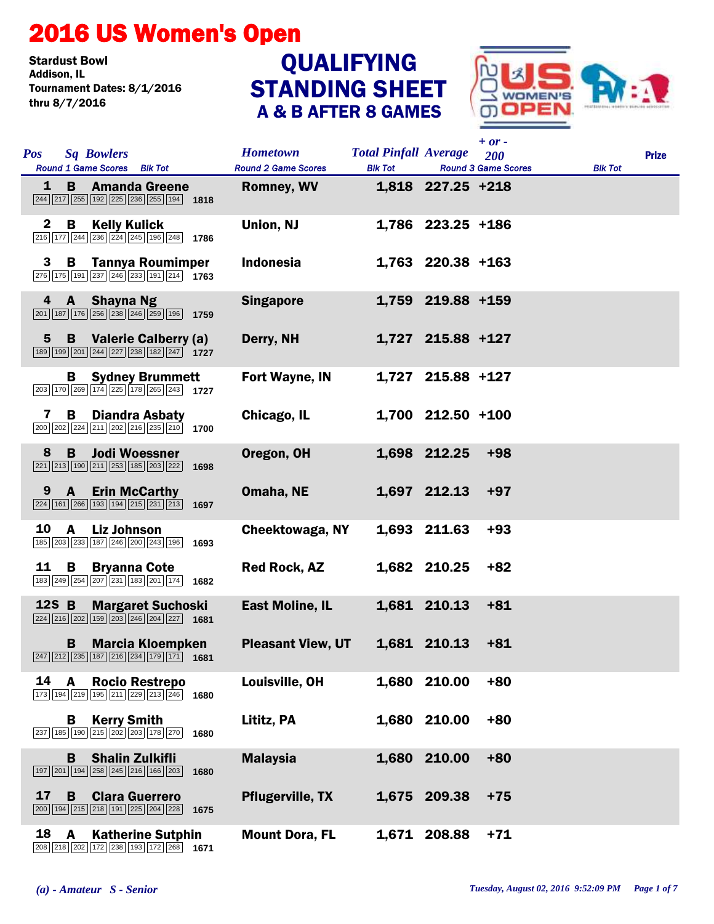## 2016 US Women's Open

Stardust Bowl<br>Addison. IL Tournament Dates: 8/1/2016 thru 8/7/2016

## STANDING SHEET A & B AFTER 8 GAMES **QUALIFYING**



| <b>Pos</b>   |              | <b>Sq Bowlers</b><br>Round 1 Game Scores Blk Tot                                                                                                                |      | <b>Hometown</b><br><b>Round 2 Game Scores</b> | <b>Total Pinfall Average</b><br><b>Blk Tot</b> |                     | $+$ or $-$<br>200<br><b>Round 3 Game Scores</b> | <b>Blk Tot</b> | <b>Prize</b> |
|--------------|--------------|-----------------------------------------------------------------------------------------------------------------------------------------------------------------|------|-----------------------------------------------|------------------------------------------------|---------------------|-------------------------------------------------|----------------|--------------|
| 1            | B.           | <b>Amanda Greene</b><br>244 217 255 192 225 236 255 194 1818                                                                                                    |      | <b>Romney, WV</b>                             |                                                | 1,818 227.25 +218   |                                                 |                |              |
| $\mathbf{2}$ | B            | <b>Kelly Kulick</b><br>$\boxed{216}\boxed{177}\boxed{244}\boxed{236}\boxed{224}\boxed{245}\boxed{196}\boxed{248}$ 1786                                          |      | Union, NJ                                     |                                                | 1,786 223.25 +186   |                                                 |                |              |
| 3            | B.           | <b>Tannya Roumimper</b><br>$\boxed{276}$ $\boxed{175}$ $\boxed{191}$ $\boxed{237}$ $\boxed{246}$ $\boxed{233}$ $\boxed{191}$ $\boxed{214}$ <b>1763</b>          |      | <b>Indonesia</b>                              |                                                | $1,763$ 220.38 +163 |                                                 |                |              |
| 4            | A            | <b>Shayna Ng</b><br>201 187 176 256 238 246 259 196 1759                                                                                                        |      | <b>Singapore</b>                              |                                                | 1,759 219.88 +159   |                                                 |                |              |
| $5^{\circ}$  |              | <b>B</b> Valerie Calberry (a)<br>$\boxed{189}$ $\boxed{199}$ $\boxed{201}$ $\boxed{244}$ $\boxed{227}$ $\boxed{238}$ $\boxed{182}$ $\boxed{247}$ $\boxed{1727}$ |      | Derry, NH                                     |                                                | 1,727 215.88 +127   |                                                 |                |              |
|              | в            | <b>Sydney Brummett</b><br>$\boxed{203}$ $\boxed{170}$ $\boxed{269}$ $\boxed{174}$ $\boxed{225}$ $\boxed{178}$ $\boxed{265}$ $\boxed{243}$ <b>1727</b>           |      | Fort Wayne, IN                                |                                                | 1,727 215.88 +127   |                                                 |                |              |
| 7            | B            | <b>Diandra Asbaty</b><br>$\boxed{200}\boxed{202}\boxed{224}\boxed{211}\boxed{202}\boxed{216}\boxed{235}\boxed{210}$ 1700                                        |      | Chicago, IL                                   |                                                | 1,700 212.50 +100   |                                                 |                |              |
| 8            | B            | <b>Jodi Woessner</b><br>221 213 190 211 253 185 203 222                                                                                                         | 1698 | Oregon, OH                                    |                                                | 1,698 212.25        | $+98$                                           |                |              |
| 9            |              | <b>A</b> Erin McCarthy<br>$\boxed{224}$ 161 $\boxed{266}$ 193 194 215 231 213 1697                                                                              |      | Omaha, NE                                     |                                                | 1,697 212.13        | $+97$                                           |                |              |
| 10           | $\mathbf{A}$ | Liz Johnson<br>185 203 233 187 246 200 243 196                                                                                                                  | 1693 | Cheektowaga, NY                               |                                                | 1,693 211.63        | $+93$                                           |                |              |
| 11           | B            | <b>Bryanna Cote</b><br>$\boxed{183}$ $\boxed{249}$ $\boxed{254}$ $\boxed{207}$ $\boxed{231}$ $\boxed{183}$ $\boxed{201}$ $\boxed{174}$ <b>1682</b>              |      | <b>Red Rock, AZ</b>                           |                                                | 1,682 210.25        | $+82$                                           |                |              |
|              | 12S B        | <b>Margaret Suchoski</b><br>224 216 202 159 203 246 204 227 1681                                                                                                |      | <b>East Moline, IL</b>                        |                                                | 1,681 210.13        | $+81$                                           |                |              |
|              | В            | <b>Marcia Kloempken</b><br>$\boxed{247}\boxed{212}\boxed{235}\boxed{187}\boxed{216}\boxed{234}\boxed{179}\boxed{171}$ 1681                                      |      | <b>Pleasant View, UT</b>                      |                                                | 1,681 210.13        | $+81$                                           |                |              |
| 14           | A            | <b>Rocio Restrepo</b><br>173 194 219 195 211 229 213 246                                                                                                        | 1680 | Louisville, OH                                |                                                | 1,680 210.00        | $+80$                                           |                |              |
|              | В            | <b>Kerry Smith</b><br>237 185 190 215 202 203 178 270                                                                                                           | 1680 | Lititz, PA                                    |                                                | 1,680 210.00        | $+80$                                           |                |              |
|              | B            | <b>Shalin Zulkifli</b><br>197 201 194 258 245 216 166 203                                                                                                       | 1680 | <b>Malaysia</b>                               | 1,680                                          | 210.00              | $+80$                                           |                |              |
| 17           | B            | <b>Clara Guerrero</b><br>200 194 215 218 191 225 204 228                                                                                                        | 1675 | <b>Pflugerville, TX</b>                       |                                                | 1,675 209.38        | $+75$                                           |                |              |
| 18           | A            | <b>Katherine Sutphin</b><br>208 218 202 172 238 193 172 268 1671                                                                                                |      | <b>Mount Dora, FL</b>                         |                                                | 1,671 208.88        | $+71$                                           |                |              |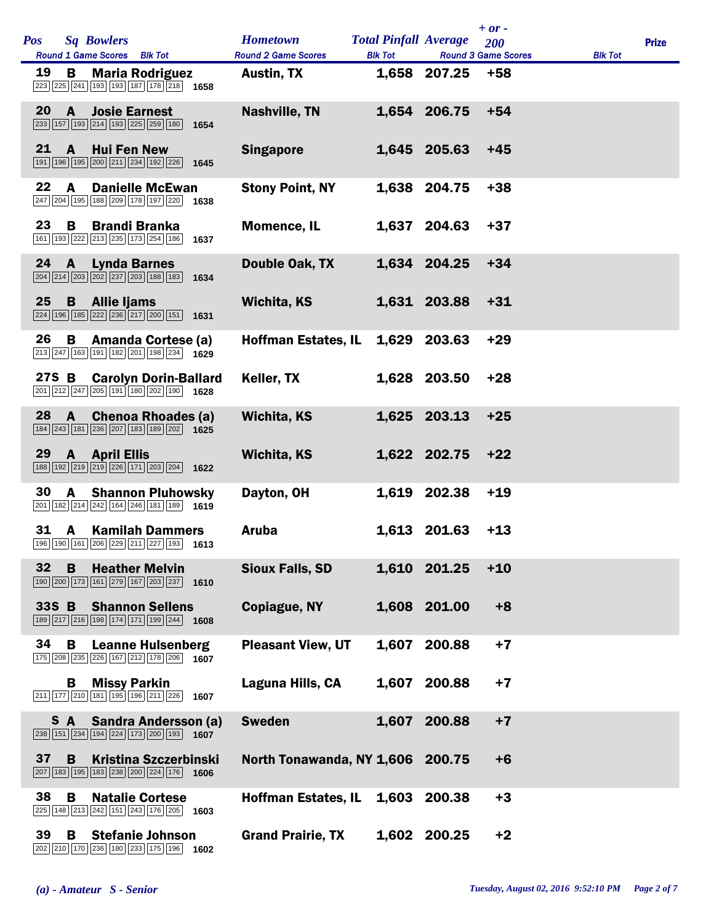| <b>Pos</b> |              | <b>Sq Bowlers</b><br>Round 1 Game Scores Blk Tot                                                                                                           |      | <b>Hometown</b><br><b>Round 2 Game Scores</b> | <b>Total Pinfall Average</b> |              | $+ or -$<br>200<br><b>Round 3 Game Scores</b> |                | <b>Prize</b> |
|------------|--------------|------------------------------------------------------------------------------------------------------------------------------------------------------------|------|-----------------------------------------------|------------------------------|--------------|-----------------------------------------------|----------------|--------------|
| 19         | В            | <b>Maria Rodriguez</b><br>$\boxed{223}$ $\boxed{225}$ $\boxed{241}$ $\boxed{193}$ $\boxed{193}$ $\boxed{187}$ $\boxed{178}$ $\boxed{218}$ 1658             |      | <b>Austin, TX</b>                             | <b>Bik Tot</b>               | 1,658 207.25 | $+58$                                         | <b>Blk Tot</b> |              |
| 20         | $\mathbf{A}$ | <b>Josie Earnest</b><br>233 157 193 214 193 225 259 180                                                                                                    | 1654 | <b>Nashville, TN</b>                          |                              | 1,654 206.75 | $+54$                                         |                |              |
| 21         | $\mathbf{A}$ | <b>Hui Fen New</b><br>191 196 195 200 211 234 192 226 1645                                                                                                 |      | <b>Singapore</b>                              |                              | 1,645 205.63 | $+45$                                         |                |              |
| 22         | A            | <b>Danielle McEwan</b><br>247 204 195 188 209 178 197 220 1638                                                                                             |      | <b>Stony Point, NY</b>                        |                              | 1,638 204.75 | $+38$                                         |                |              |
| 23         | B            | <b>Brandi Branka</b><br>161   193   222   213   235   173   254   186   1637                                                                               |      | <b>Momence, IL</b>                            |                              | 1,637 204.63 | $+37$                                         |                |              |
| 24 A       |              | <b>Lynda Barnes</b><br>$\boxed{204}\boxed{214}\boxed{203}\boxed{202}\boxed{237}\boxed{203}\boxed{188}\boxed{183}$ 1634                                     |      | Double Oak, TX                                |                              | 1,634 204.25 | $+34$                                         |                |              |
| 25         | <b>B</b>     | <b>Allie liams</b><br>224 196 185 222 236 217 200 151 1631                                                                                                 |      | Wichita, KS                                   |                              | 1,631 203.88 | $+31$                                         |                |              |
| 26         | В            | <b>Amanda Cortese (a)</b><br>213 247 163 191 182 201 198 234 1629                                                                                          |      | <b>Hoffman Estates, IL</b>                    |                              | 1,629 203.63 | $+29$                                         |                |              |
|            |              | 27S B Carolyn Dorin-Ballard<br>$\boxed{201}$ $\boxed{212}$ $\boxed{247}$ $\boxed{205}$ $\boxed{191}$ $\boxed{180}$ $\boxed{202}$ $\boxed{190}$ <b>1628</b> |      | Keller, TX                                    |                              | 1,628 203.50 | $+28$                                         |                |              |
| 28         | $\mathbf{A}$ | <b>Chenoa Rhoades (a)</b><br>184   243   181   236   207   183   189   202   1625                                                                          |      | <b>Wichita, KS</b>                            |                              | 1,625 203.13 | $+25$                                         |                |              |
| 29         |              | <b>A</b> April Ellis<br>188 192 219 219 226 171 203 204 1622                                                                                               |      | Wichita, KS                                   |                              | 1,622 202.75 | $+22$                                         |                |              |
| 30         | A            | <b>Shannon Pluhowsky</b><br>$\boxed{201}$ 182 $\boxed{214}$ $\boxed{242}$ 164 $\boxed{246}$ 181 189 1619                                                   |      | Dayton, OH                                    |                              | 1,619 202.38 | $+19$                                         |                |              |
| 31         | <b>A</b>     | <b>Kamilah Dammers</b><br>196 190 161 206 229 211 227 193 1613                                                                                             |      | <b>Aruba</b>                                  |                              | 1,613 201.63 | $+13$                                         |                |              |
| 32         | B            | <b>Heather Melvin</b><br>190 200 173 161 279 167 203 237 1610                                                                                              |      | <b>Sioux Falls, SD</b>                        |                              | 1,610 201.25 | $+10$                                         |                |              |
|            |              | 33S B Shannon Sellens<br>189 217 216 198 174 171 199 244 1608                                                                                              |      | Copiague, NY                                  |                              | 1,608 201.00 | $+8$                                          |                |              |
| 34         | B            | <b>Leanne Hulsenberg</b><br>175 208 235 226 167 212 178 206 1607                                                                                           |      | <b>Pleasant View, UT</b>                      | 1,607                        | 200.88       | $+7$                                          |                |              |
|            | в            | <b>Missy Parkin</b><br>$\boxed{211}$ $\boxed{177}$ $\boxed{210}$ $\boxed{181}$ $\boxed{195}$ $\boxed{196}$ $\boxed{211}$ $\boxed{226}$ <b>1607</b>         |      | Laguna Hills, CA                              |                              | 1,607 200.88 | $+7$                                          |                |              |
|            |              | <b>S</b> A Sandra Andersson (a)<br>$\boxed{238}$ 151 234 194 224 173 200 193 1607                                                                          |      | <b>Sweden</b>                                 | 1,607                        | 200.88       | $+7$                                          |                |              |
| 37         | B            | <b>Kristina Szczerbinski</b><br>207 183 195 183 238 200 224 176 1606                                                                                       |      | North Tonawanda, NY 1,606                     |                              | 200.75       | $+6$                                          |                |              |
| 38         | В            | <b>Natalie Cortese</b><br>$\boxed{225}$ 148 213 242 151 243 176 205 1603                                                                                   |      | <b>Hoffman Estates, IL</b>                    | 1,603                        | 200.38       | $+3$                                          |                |              |
| 39         | B            | <b>Stefanie Johnson</b><br>202 210 170 236 180 233 175 196                                                                                                 | 1602 | <b>Grand Prairie, TX</b>                      |                              | 1,602 200.25 | $+2$                                          |                |              |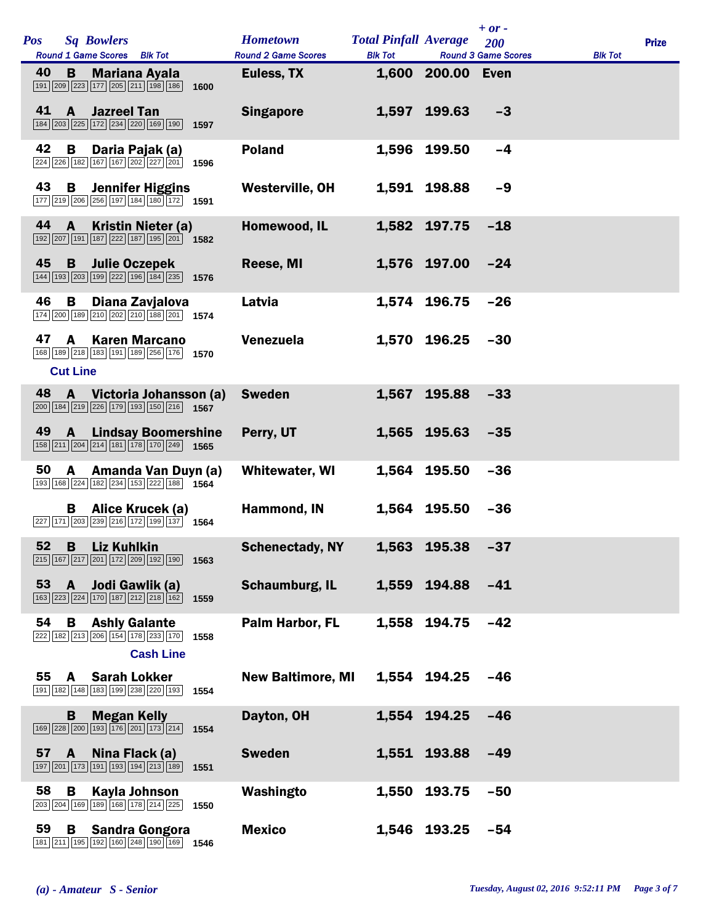| <b>Pos</b> |                                 | <b>Sq Bowlers</b><br>Round 1 Game Scores Blk Tot                                                              |      | <b>Hometown</b><br><b>Round 2 Game Scores</b> | <b>Total Pinfall Average</b><br><b>Blk Tot</b> |                   | $+ or -$<br>200<br><b>Round 3 Game Scores</b> | <b>Blk Tot</b> | <b>Prize</b> |
|------------|---------------------------------|---------------------------------------------------------------------------------------------------------------|------|-----------------------------------------------|------------------------------------------------|-------------------|-----------------------------------------------|----------------|--------------|
| 40         | B                               | <b>Mariana Ayala</b><br>191   209   223   177   205   211   198   186                                         | 1600 | Euless, TX                                    |                                                | 1,600 200.00 Even |                                               |                |              |
| 41         | $\mathbf{A}$                    | <b>Jazreel Tan</b><br>184   203   225   172   234   220   169   190                                           | 1597 | <b>Singapore</b>                              | 1,597                                          | 199.63            | $-3$                                          |                |              |
| 42         | В                               | Daria Pajak (a)<br>224 226 182 167 167 202 227 201                                                            | 1596 | <b>Poland</b>                                 | 1,596                                          | 199.50            | $-4$                                          |                |              |
| 43         | B                               | <b>Jennifer Higgins</b><br>177 219 206 256 197 184 180 172 1591                                               |      | <b>Westerville, OH</b>                        |                                                | 1,591 198.88      | $-9$                                          |                |              |
| 44         | A                               | Kristin Nieter (a)<br>192 207 191 187 222 187 195 201 1582                                                    |      | Homewood, IL                                  |                                                | 1,582 197.75      | $-18$                                         |                |              |
| 45         |                                 | <b>B</b> Julie Oczepek<br>144   193   203   199   222   196   184   235   1576                                |      | Reese, MI                                     |                                                | 1,576 197.00      | $-24$                                         |                |              |
| 46         | B                               | Diana Zavjalova<br>174 200 189 210 202 210 188 201 1574                                                       |      | Latvia                                        |                                                | 1,574 196.75      | $-26$                                         |                |              |
| 47         | A                               | <b>Karen Marcano</b><br>168 189 218 183 191 189 256 176 1570                                                  |      | Venezuela                                     |                                                | 1,570 196.25      | $-30$                                         |                |              |
| 48         | <b>Cut Line</b><br>$\mathbf{A}$ | Victoria Johansson (a)                                                                                        |      | <b>Sweden</b>                                 | 1,567                                          | 195.88            | $-33$                                         |                |              |
| 49         | $\mathbf{A}$                    | 200 184 219 226 179 193 150 216 1567<br><b>Lindsay Boomershine</b><br>158 211 204 214 181 178 170 249 1565    |      | Perry, UT                                     |                                                | 1,565 195.63      | $-35$                                         |                |              |
| 50         | $\mathbf{A}$                    | Amanda Van Duyn (a)<br>193 168 224 182 234 153 222 188 1564                                                   |      | <b>Whitewater, WI</b>                         | 1,564                                          | 195.50            | $-36$                                         |                |              |
|            | B.                              | Alice Krucek (a)<br>227 171 203 239 216 172 199 137 1564                                                      |      | Hammond, IN                                   |                                                | 1,564 195.50      | $-36$                                         |                |              |
|            |                                 | 52 B Liz Kuhlkin<br>215 167 217 201 172 209 192 190                                                           | 1563 | <b>Schenectady, NY</b>                        |                                                | 1,563 195.38      | $-37$                                         |                |              |
| 53         | A                               | Jodi Gawlik (a)<br>$\boxed{163}\boxed{223}\boxed{224}\boxed{170}\boxed{187}\boxed{212}\boxed{218}\boxed{162}$ | 1559 | Schaumburg, IL                                |                                                | 1,559 194.88      | $-41$                                         |                |              |
| 54         | B                               | <b>Ashly Galante</b><br>222 182 213 206 154 178 233 170                                                       | 1558 | Palm Harbor, FL                               | 1,558                                          | 194.75            | $-42$                                         |                |              |
|            | 55 A                            | <b>Cash Line</b><br><b>Sarah Lokker</b><br>191 182 148 183 199 238 220 193                                    | 1554 | <b>New Baltimore, MI</b>                      |                                                | 1,554 194.25      | $-46$                                         |                |              |
|            | B                               | <b>Megan Kelly</b><br>169 228 200 193 176 201 173 214                                                         | 1554 | Dayton, OH                                    |                                                | 1,554 194.25      | $-46$                                         |                |              |
| 57         | A                               | Nina Flack (a)<br>197 201 173 191 193 194 213 189                                                             | 1551 | <b>Sweden</b>                                 |                                                | 1,551 193.88      | -49                                           |                |              |
| 58         | В                               | Kayla Johnson<br>203 204 169 189 168 178 214 225                                                              | 1550 | Washingto                                     | 1,550                                          | 193.75            | $-50$                                         |                |              |
| 59         | В                               | <b>Sandra Gongora</b><br>181   211   195   192   160   248   190   169                                        | 1546 | <b>Mexico</b>                                 | 1,546                                          | 193.25            | $-54$                                         |                |              |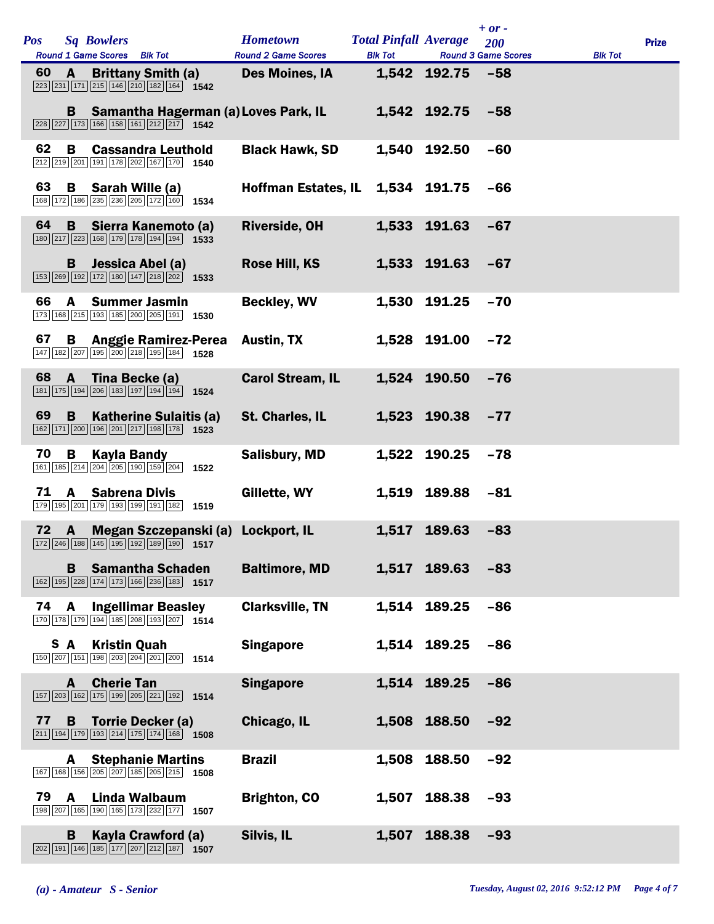| <b>Pos</b> |                | <b>Sq Bowlers</b>                                                                                                                                            | <b>Hometown</b>                              | <b>Total Pinfall Average</b> |                  | $+ or -$<br>200            |                | <b>Prize</b> |
|------------|----------------|--------------------------------------------------------------------------------------------------------------------------------------------------------------|----------------------------------------------|------------------------------|------------------|----------------------------|----------------|--------------|
| 60         | A              | Round 1 Game Scores Blk Tot<br><b>Brittany Smith (a)</b>                                                                                                     | <b>Round 2 Game Scores</b><br>Des Moines, IA | <b>Blk Tot</b>               | 1,542 192.75 -58 | <b>Round 3 Game Scores</b> | <b>Blk Tot</b> |              |
|            |                | $\boxed{223}\boxed{231}\boxed{171}\boxed{215}\boxed{146}\boxed{210}\boxed{182}\boxed{164}$ 1542                                                              |                                              |                              |                  |                            |                |              |
|            | B              | Samantha Hagerman (a) Loves Park, IL<br>$\boxed{228}$ $\boxed{227}$ 173 166 158 161 212 217 1542                                                             |                                              |                              | 1,542 192.75     | $-58$                      |                |              |
| 62         | B              | <b>Cassandra Leuthold</b><br>212 219 201 191 178 202 167 170 1540                                                                                            | <b>Black Hawk, SD</b>                        |                              | 1,540 192.50     | $-60$                      |                |              |
| 63         | B              | Sarah Wille (a)<br>168 172 186 235 236 205 172 160 1534                                                                                                      | <b>Hoffman Estates, IL</b>                   |                              | 1,534 191.75     | $-66$                      |                |              |
| 64         | B              | Sierra Kanemoto (a)<br>180 217 223 168 179 178 194 194 1533                                                                                                  | <b>Riverside, OH</b>                         |                              | 1,533 191.63     | $-67$                      |                |              |
|            | B              | Jessica Abel (a)<br>$\boxed{153}$ $\boxed{269}$ $\boxed{192}$ $\boxed{172}$ $\boxed{180}$ $\boxed{147}$ $\boxed{218}$ $\boxed{202}$ $\boxed{1533}$           | Rose Hill, KS                                |                              | 1,533 191.63     | $-67$                      |                |              |
| 66         | A              | <b>Summer Jasmin</b><br>173 168 215 193 185 200 205 191 1530                                                                                                 | <b>Beckley, WV</b>                           |                              | 1,530 191.25     | $-70$                      |                |              |
| 67         | B              | <b>Anggie Ramirez-Perea</b><br>147 182 207 195 200 218 195 184 1528                                                                                          | <b>Austin, TX</b>                            |                              | 1,528 191.00     | $-72$                      |                |              |
| 68         | $\mathbf{A}$   | Tina Becke (a)<br>181 175 194 206 183 197 194 194 1524                                                                                                       | <b>Carol Stream, IL</b>                      |                              | 1,524 190.50     | $-76$                      |                |              |
| 69         | B              | Katherine Sulaitis (a)<br>$\boxed{162}\boxed{171}\boxed{200}\boxed{196}\boxed{201}\boxed{217}\boxed{198}\boxed{178}$ 1523                                    | St. Charles, IL                              |                              | 1,523 190.38     | $-77$                      |                |              |
| 70         | B              | <b>Kayla Bandy</b><br>$\boxed{161}$ $\boxed{185}$ $\boxed{214}$ $\boxed{204}$ $\boxed{205}$ $\boxed{190}$ $\boxed{159}$ $\boxed{204}$ <b>1522</b>            | <b>Salisbury, MD</b>                         |                              | 1,522 190.25     | $-78$                      |                |              |
| 71         | $\mathbf{A}$   | <b>Sabrena Divis</b><br>179 195 201 179 193 199 191 182 1519                                                                                                 | Gillette, WY                                 |                              | 1,519 189.88     | $-81$                      |                |              |
| 72         | $\overline{A}$ | Megan Szczepanski (a) Lockport, IL<br>172 246 188 145 195 192 189 190 1517                                                                                   |                                              | 1,517                        | 189.63           | $-83$                      |                |              |
|            | B              | <b>Samantha Schaden</b><br>162 195 228 174 173 166 236 183 1517                                                                                              | <b>Baltimore, MD</b>                         |                              | 1,517 189.63     | $-83$                      |                |              |
|            |                | 74 A Ingellimar Beasley<br>170 178 179 194 185 208 193 207 1514                                                                                              | <b>Clarksville, TN</b>                       |                              | 1,514 189.25     | $-86$                      |                |              |
|            | S A            | <b>Kristin Quah</b><br>150 207 151 198 203 204 201 200 1514                                                                                                  | <b>Singapore</b>                             |                              | 1,514 189.25     | $-86$                      |                |              |
|            | A              | <b>Cherie Tan</b><br>157 203 162 175 199 205 221 192 1514                                                                                                    | <b>Singapore</b>                             |                              | 1,514 189.25     | $-86$                      |                |              |
| 77         |                | <b>B</b> Torrie Decker (a)<br>$\boxed{211}$ $\boxed{194}$ $\boxed{179}$ $\boxed{193}$ $\boxed{214}$ $\boxed{175}$ $\boxed{174}$ $\boxed{168}$ $\boxed{1508}$ | Chicago, IL                                  |                              | 1,508 188.50     | $-92$                      |                |              |
|            | A              | <b>Stephanie Martins</b><br>167 168 156 205 207 185 205 215 1508                                                                                             | <b>Brazil</b>                                | 1,508                        | 188.50           | $-92$                      |                |              |
| 79         | <b>A</b>       | Linda Walbaum<br>198 207 165 190 165 173 232 177 1507                                                                                                        | <b>Brighton, CO</b>                          |                              | 1,507 188.38     | $-93$                      |                |              |
|            | B              | Kayla Crawford (a)<br>$\boxed{202}$ 191 146 185 177 207 212 187 1507                                                                                         | Silvis, IL                                   | 1,507                        | 188.38           | $-93$                      |                |              |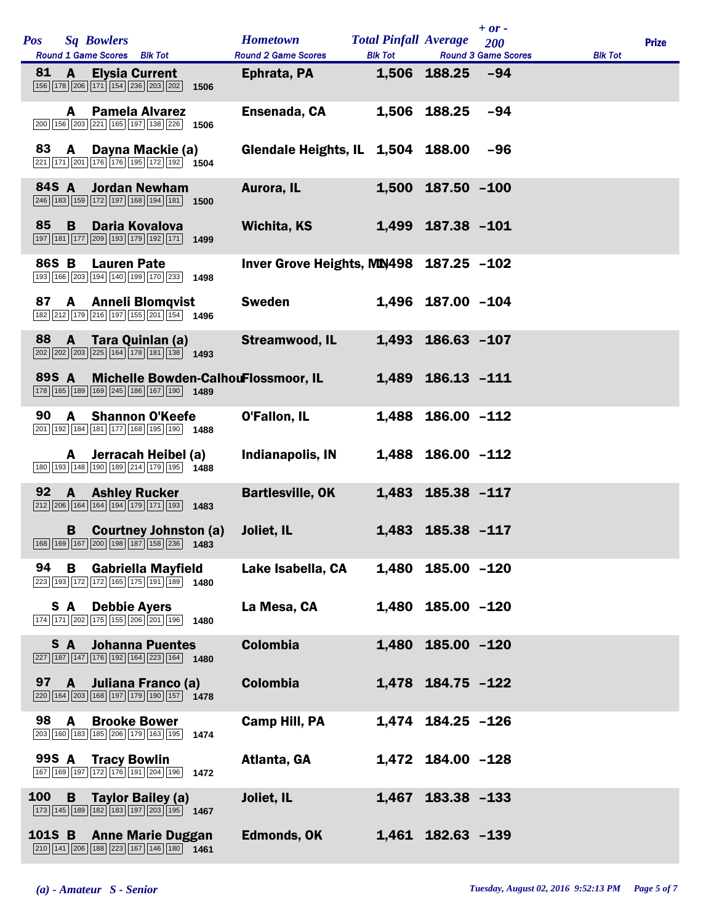| <b>Pos</b> |              |   | <b>Sq Bowlers</b><br>Round 1 Game Scores Blk Tot                                                                                                   |      | <b>Hometown</b><br><b>Round 2 Game Scores</b> | <b>Total Pinfall Average</b><br><b>Blk Tot</b> |                   | $+ or -$<br>200<br><b>Round 3 Game Scores</b> | <b>Blk Tot</b> | <b>Prize</b> |
|------------|--------------|---|----------------------------------------------------------------------------------------------------------------------------------------------------|------|-----------------------------------------------|------------------------------------------------|-------------------|-----------------------------------------------|----------------|--------------|
| 81         |              | A | <b>Elysia Current</b><br>156 178 206 171 154 236 203 202                                                                                           | 1506 | Ephrata, PA                                   |                                                | 1,506 188.25      | $-94$                                         |                |              |
|            | A            |   | <b>Pamela Alvarez</b><br>200 156 203 221 165 197 138 226 1506                                                                                      |      | Ensenada, CA                                  |                                                | 1,506 188.25      | $-94$                                         |                |              |
| 83         | A            |   | Dayna Mackie (a)<br>$\boxed{221}\boxed{171}\boxed{201}\boxed{176}\boxed{176}\boxed{195}\boxed{172}\boxed{192}$ 1504                                |      | Glendale Heights, IL 1,504 188.00             |                                                |                   | $-96$                                         |                |              |
|            | 84S A        |   | <b>Jordan Newham</b><br>246 183 159 172 197 168 194 181 1500                                                                                       |      | Aurora, IL                                    |                                                | 1,500 187.50 -100 |                                               |                |              |
| 85         | B            |   | Daria Kovalova<br>197 181 177 209 193 179 192 171 1499                                                                                             |      | <b>Wichita, KS</b>                            |                                                | 1,499 187.38 -101 |                                               |                |              |
|            | 86S B        |   | <b>Lauren Pate</b><br>193 166 203 194 140 199 170 233 1498                                                                                         |      | Inver Grove Heights, MD498 187.25 -102        |                                                |                   |                                               |                |              |
| 87         | $\mathsf{A}$ |   | <b>Anneli Blomqvist</b><br>182 212 179 216 197 155 201 154 1496                                                                                    |      | <b>Sweden</b>                                 |                                                | 1,496 187.00 -104 |                                               |                |              |
| 88         | $\mathbf{A}$ |   | Tara Quinlan (a)<br>$\boxed{202}$ $\boxed{202}$ $\boxed{203}$ $\boxed{225}$ $\boxed{164}$ $\boxed{178}$ $\boxed{181}$ $\boxed{138}$ $\boxed{1493}$ |      | <b>Streamwood, IL</b>                         |                                                | 1,493 186.63 -107 |                                               |                |              |
|            | 89S A        |   | <b>Michelle Bowden-CalhouFlossmoor, IL</b><br>[178   165   189   169   245   186   167   190   1489                                                |      |                                               |                                                | 1,489 186.13 -111 |                                               |                |              |
| 90         | A            |   | <b>Shannon O'Keefe</b><br>201   192   184   181   177   168   195   190   1488                                                                     |      | O'Fallon, IL                                  |                                                | 1,488 186.00 -112 |                                               |                |              |
|            | A            |   | Jerracah Heibel (a)<br>180 193 148 190 189 214 179 195 1488                                                                                        |      | Indianapolis, IN                              |                                                | 1,488 186.00 -112 |                                               |                |              |
| 92         | $\mathbf{A}$ |   | <b>Ashley Rucker</b><br>$\boxed{212}$ $\boxed{206}$ $\boxed{164}$ $\boxed{194}$ $\boxed{179}$ $\boxed{171}$ $\boxed{193}$ <b>1483</b>              |      | <b>Bartlesville, OK</b>                       |                                                | 1,483 185.38 -117 |                                               |                |              |
|            | B            |   | <b>Courtney Johnston (a)</b><br>168 169 167 200 198 187 158 236 1483                                                                               |      | Joliet, IL                                    |                                                | 1,483 185.38 -117 |                                               |                |              |
| 94         | В            |   | <b>Gabriella Mayfield</b><br>223 193 172 172 165 175 191 189 1480                                                                                  |      | Lake Isabella, CA                             | 1,480                                          | $185.00 - 120$    |                                               |                |              |
|            | S A          |   | <b>Debbie Ayers</b><br>$\boxed{174}$ $\boxed{171}$ $\boxed{202}$ $\boxed{175}$ $\boxed{155}$ $\boxed{206}$ $\boxed{201}$ $\boxed{196}$ 1480        |      | La Mesa, CA                                   |                                                | 1,480 185.00 -120 |                                               |                |              |
|            | S A          |   | <b>Johanna Puentes</b><br>$\boxed{227}$ 187 147 176 192 164 223 164 1480                                                                           |      | <b>Colombia</b>                               |                                                | 1,480 185.00 -120 |                                               |                |              |
| 97         | A            |   | Juliana Franco (a)<br>$\boxed{220}$ 164 $\boxed{203}$ 168 197 179 190 157 1478                                                                     |      | Colombia                                      |                                                | 1,478 184.75 -122 |                                               |                |              |
| 98         | A            |   | <b>Brooke Bower</b><br>203 160 183 185 206 179 163 195 1474                                                                                        |      | <b>Camp Hill, PA</b>                          |                                                | 1,474 184.25 -126 |                                               |                |              |
|            |              |   | 99S A Tracy Bowlin<br>167 169 197 172 176 191 204 196 1472                                                                                         |      | Atlanta, GA                                   |                                                | 1,472 184.00 -128 |                                               |                |              |
| <b>100</b> |              |   | <b>B</b> Taylor Bailey (a)<br>173 145 189 182 183 197 203 195 1467                                                                                 |      | Joliet, IL                                    |                                                | 1,467 183.38 -133 |                                               |                |              |
| 101S B     |              |   | <b>Anne Marie Duggan</b><br>$\boxed{210}$ 141 206 188 223 167 146 180 180                                                                          |      | Edmonds, OK                                   |                                                | 1,461 182.63 -139 |                                               |                |              |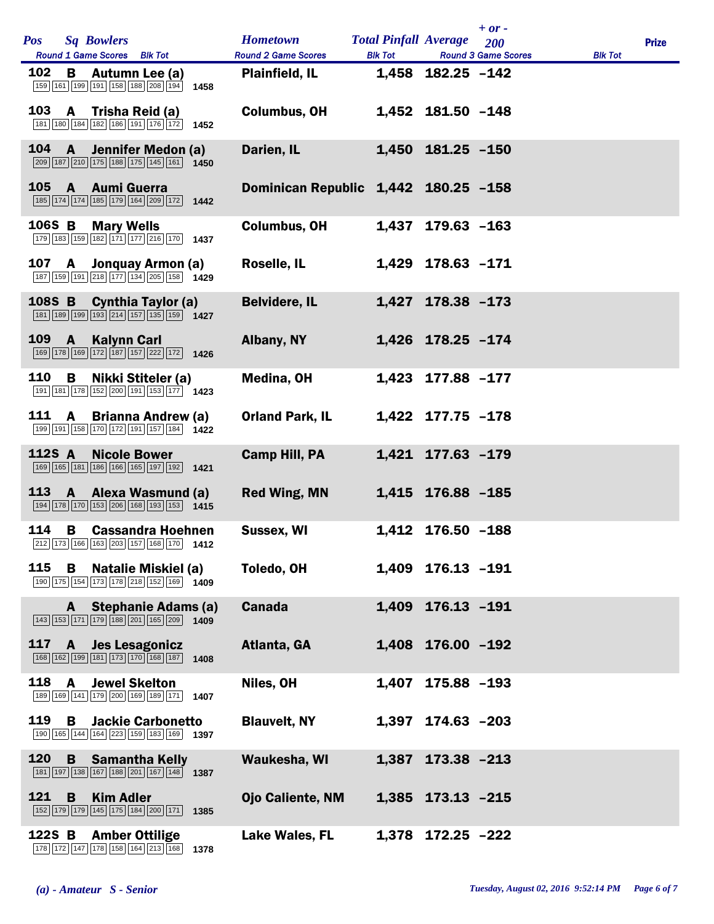| <b>Pos</b> | <b>Sq Bowlers</b><br>Round 1 Game Scores Blk Tot                                                                                                                     |      | <b>Hometown</b><br><b>Round 2 Game Scores</b> | <b>Total Pinfall Average</b><br><b>Blk Tot</b> |                   | $+$ or $-$<br>200<br><b>Round 3 Game Scores</b> | <b>Blk Tot</b> | <b>Prize</b> |
|------------|----------------------------------------------------------------------------------------------------------------------------------------------------------------------|------|-----------------------------------------------|------------------------------------------------|-------------------|-------------------------------------------------|----------------|--------------|
| 102        | <b>B</b> Autumn Lee (a)<br>$\boxed{159}$ $\boxed{161}$ $\boxed{199}$ $\boxed{191}$ $\boxed{158}$ $\boxed{188}$ $\boxed{208}$ $\boxed{194}$ 1458                      |      | <b>Plainfield, IL</b>                         |                                                | 1,458 182.25 -142 |                                                 |                |              |
| 103        | A<br>Trisha Reid (a)<br>$\boxed{181}$ $\boxed{180}$ $\boxed{184}$ $\boxed{182}$ $\boxed{186}$ $\boxed{191}$ $\boxed{176}$ $\boxed{172}$ <b>1452</b>                  |      | <b>Columbus, OH</b>                           |                                                | 1,452 181.50 -148 |                                                 |                |              |
| 104        | $\mathbf{A}$<br>Jennifer Medon (a)<br>$\boxed{209}$ $\boxed{187}$ $\boxed{210}$ $\boxed{175}$ $\boxed{188}$ $\boxed{175}$ $\boxed{145}$ $\boxed{161}$ $\boxed{1450}$ |      | Darien, IL                                    |                                                | 1,450 181.25 -150 |                                                 |                |              |
|            | 105 A Aumi Guerra<br>185 174 174 185 179 164 209 172 1442                                                                                                            |      | Dominican Republic 1,442 180.25 -158          |                                                |                   |                                                 |                |              |
| 106S B     | <b>Mary Wells</b><br>179 183 159 182 171 177 216 170 1437                                                                                                            |      | <b>Columbus, OH</b>                           | 1,437                                          | $179.63 - 163$    |                                                 |                |              |
|            | 107 A Jonquay Armon (a)<br>187 159 191 218 177 134 205 158 1429                                                                                                      |      | Roselle, IL                                   |                                                | 1,429 178.63 -171 |                                                 |                |              |
| 108S B     | <b>Cynthia Taylor (a)</b><br>181 189 199 193 214 157 135 159 1427                                                                                                    |      | <b>Belvidere, IL</b>                          |                                                | 1,427 178.38 -173 |                                                 |                |              |
| <b>109</b> | <b>Kalynn Carl</b><br>$\mathbf{A}$<br>169 178 169 172 187 157 222 172 1426                                                                                           |      | Albany, NY                                    |                                                | 1,426 178.25 -174 |                                                 |                |              |
| 110        | B<br>Nikki Stiteler (a)<br>191 181 178 152 200 191 153 177 1423                                                                                                      |      | Medina, OH                                    |                                                | 1,423 177.88 -177 |                                                 |                |              |
| 111        | $\mathsf{A}$<br><b>Brianna Andrew (a)</b><br>199 191 158 170 172 191 157 184 1422                                                                                    |      | <b>Orland Park, IL</b>                        |                                                | 1,422 177.75 -178 |                                                 |                |              |
| 112S A     | <b>Nicole Bower</b><br>169 165 181 186 166 165 197 192 1421                                                                                                          |      | <b>Camp Hill, PA</b>                          |                                                | 1,421 177.63 -179 |                                                 |                |              |
| 113        | A Alexa Wasmund (a)<br>194 178 170 153 206 168 193 153 1415                                                                                                          |      | <b>Red Wing, MN</b>                           |                                                | 1,415 176.88 -185 |                                                 |                |              |
| 114        | <b>Cassandra Hoehnen</b><br>B<br>212 173 166 163 203 157 168 170 1412                                                                                                |      | Sussex, WI                                    |                                                | 1,412 176.50 -188 |                                                 |                |              |
| 115        | <b>Natalie Miskiel (a)</b><br>B<br>190 175 154 173 178 218 152 169 1409                                                                                              |      | Toledo, OH                                    |                                                | 1,409 176.13 -191 |                                                 |                |              |
|            | A Stephanie Adams (a)<br>$\boxed{143}$ $\boxed{153}$ $\boxed{171}$ $\boxed{179}$ $\boxed{188}$ $\boxed{201}$ $\boxed{165}$ $\boxed{209}$ $\boxed{1409}$              |      | <b>Canada</b>                                 |                                                | 1,409 176.13 -191 |                                                 |                |              |
|            | 117 A Jes Lesagonicz<br>168 162 199 181 173 170 168 187 1408                                                                                                         |      | Atlanta, GA                                   |                                                | 1,408 176.00 -192 |                                                 |                |              |
| 118        | <b>Jewel Skelton</b><br>A<br>189 169 141 179 200 169 189 171 1407                                                                                                    |      | Niles, OH                                     | 1,407                                          | 175.88 -193       |                                                 |                |              |
| 119        | B<br><b>Jackie Carbonetto</b><br>190 165 144 164 223 159 183 169 1397                                                                                                |      | <b>Blauvelt, NY</b>                           |                                                | 1,397 174.63 -203 |                                                 |                |              |
| 120        | B<br><b>Samantha Kelly</b><br>$\boxed{181}\boxed{197}\boxed{138}\boxed{167}\boxed{188}\boxed{201}\boxed{167}\boxed{148}\boxed{1387}$                                 |      | Waukesha, WI                                  |                                                | 1,387 173.38 -213 |                                                 |                |              |
| 121        | B<br><b>Kim Adler</b><br>[152] [179] [179] [145] [175] [184] [200] [171] [1385]                                                                                      |      | Ojo Caliente, NM                              |                                                | 1,385 173.13 -215 |                                                 |                |              |
| 122S B     | <b>Amber Ottilige</b><br>178 172 147 178 158 164 213 168                                                                                                             | 1378 | Lake Wales, FL                                |                                                | 1,378 172.25 -222 |                                                 |                |              |